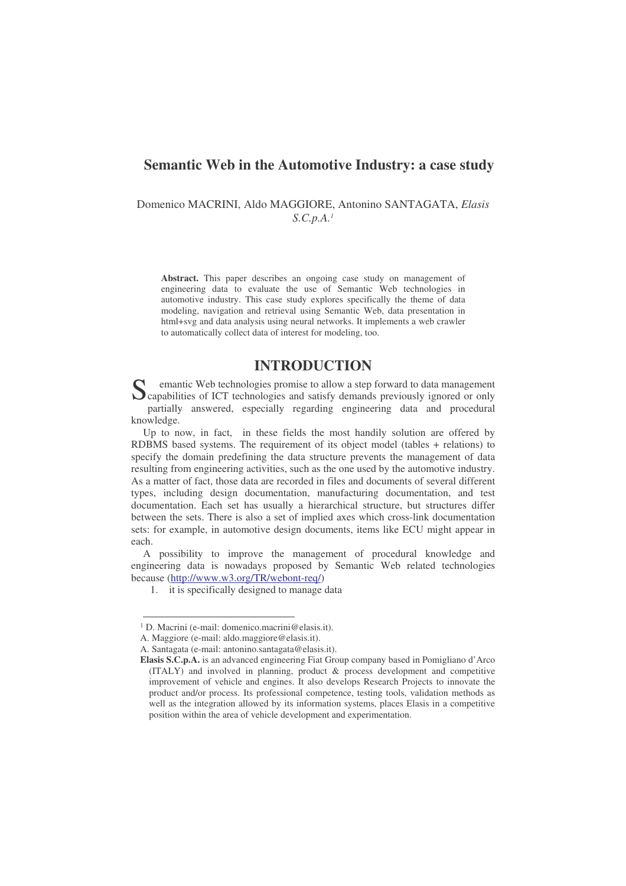## **Semantic Web in the Automotive Industry: a case study**

Domenico MACRINI, Aldo MAGGIORE, Antonino SANTAGATA, *Elasis S.C.p.A. 1*

**Abstract.** This paper describes an ongoing case study on management of engineering data to evaluate the use of Semantic Web technologies in automotive industry. This case study explores specifically the theme of data modeling, navigation and retrieval using Semantic Web, data presentation in html+svg and data analysis using neural networks. It implements a web crawler to automatically collect data of interest for modeling, too.

# **INTRODUCTION**

emantic Web technologies promise to allow a step forward to data management S<br>
Capabilities of ICT technologies and satisfy demands previously ignored or only<br>
Unit in the capabilities of ICT technologies and satisfy demands previously ignored or only partially answered, especially regarding engineering data and procedural knowledge.

Up to now, in fact, in these fields the most handily solution are offered by RDBMS based systems. The requirement of its object model (tables + relations) to specify the domain predefining the data structure prevents the management of data resulting from engineering activities, such as the one used by the automotive industry. As a matter of fact, those data are recorded in files and documents of several different types, including design documentation, manufacturing documentation, and test documentation. Each set has usually a hierarchical structure, but structures differ between the sets. There is also a set of implied axes which cross-link documentation sets: for example, in automotive design documents, items like ECU might appear in each.

A possibility to improve the management of procedural knowledge and engineering data is nowadays proposed by Semantic Web related technologies because (http://www.w3.org/TR/webont-req/)

<sup>1.</sup> it is specifically designed to manage data

<sup>&</sup>lt;sup>1</sup> D. Macrini (e-mail: domenico.macrini@elasis.it).

A. Maggiore (e-mail: aldo.maggiore@elasis.it).

A. Santagata (e-mail: antonino.santagata@elasis.it).

**Elasis S.C.p.A.** is an advanced engineering Fiat Group company based in Pomigliano d'Arco (ITALY) and involved in planning, product & process development and competitive improvement of vehicle and engines. It also develops Research Projects to innovate the product and/or process. Its professional competence, testing tools, validation methods as well as the integration allowed by its information systems, places Elasis in a competitive position within the area of vehicle development and experimentation.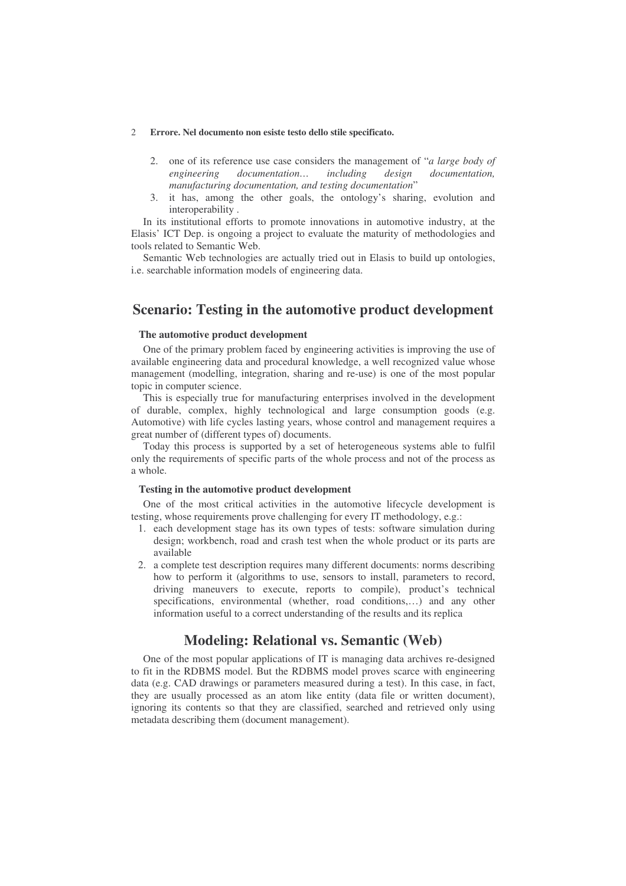- 2. one of its reference use case considers the management of "*a large body of engineering documentation… including design documentation, manufacturing documentation, and testing documentation*"
- 3. it has, among the other goals, the ontology's sharing, evolution and interoperability .

In its institutional efforts to promote innovations in automotive industry, at the Elasis' ICT Dep. is ongoing a project to evaluate the maturity of methodologies and tools related to Semantic Web.

Semantic Web technologies are actually tried out in Elasis to build up ontologies, i.e. searchable information models of engineering data.

# **Scenario: Testing in the automotive product development**

### **The automotive product development**

One of the primary problem faced by engineering activities is improving the use of available engineering data and procedural knowledge, a well recognized value whose management (modelling, integration, sharing and re-use) is one of the most popular topic in computer science.

This is especially true for manufacturing enterprises involved in the development of durable, complex, highly technological and large consumption goods (e.g. Automotive) with life cycles lasting years, whose control and management requires a great number of (different types of) documents.

Today this process is supported by a set of heterogeneous systems able to fulfil only the requirements of specific parts of the whole process and not of the process as a whole.

#### **Testing in the automotive product development**

One of the most critical activities in the automotive lifecycle development is testing, whose requirements prove challenging for every IT methodology, e.g.:

- 1. each development stage has its own types of tests: software simulation during design; workbench, road and crash test when the whole product or its parts are available
- 2. a complete test description requires many different documents: norms describing how to perform it (algorithms to use, sensors to install, parameters to record, driving maneuvers to execute, reports to compile), product's technical specifications, environmental (whether, road conditions,…) and any other information useful to a correct understanding of the results and its replica

# **Modeling: Relational vs. Semantic (Web)**

One of the most popular applications of IT is managing data archives re-designed to fit in the RDBMS model. But the RDBMS model proves scarce with engineering data (e.g. CAD drawings or parameters measured during a test). In this case, in fact, they are usually processed as an atom like entity (data file or written document), ignoring its contents so that they are classified, searched and retrieved only using metadata describing them (document management).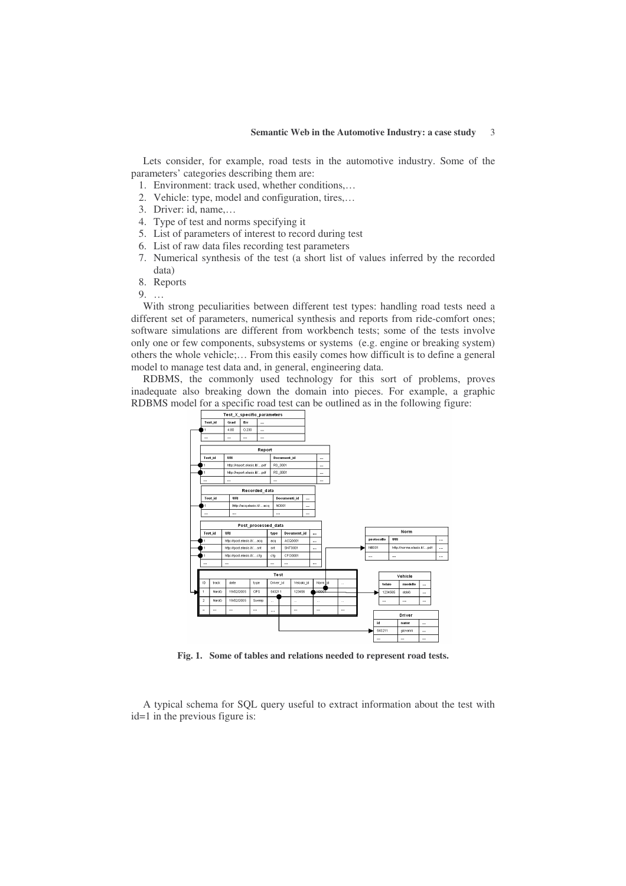Lets consider, for example, road tests in the automotive industry. Some of the parameters' categories describing them are:

- 1. Environment: track used, whether conditions,…
- 2. Vehicle: type, model and configuration, tires,…
- 3. Driver: id, name,…
- 4. Type of test and norms specifying it
- 5. List of parameters of interest to record during test
- 6. List of raw data files recording test parameters
- 7. Numerical synthesis of the test (a short list of values inferred by the recorded data)
- 8. Reports

9. …

With strong peculiarities between different test types: handling road tests need a different set of parameters, numerical synthesis and reports from ride-comfort ones; software simulations are different from workbench tests; some of the tests involve only one or few components, subsystems or systems (e.g. engine or breaking system) others the whole vehicle;… From this easily comes how difficult is to define a general model to manage test data and, in general, engineering data.

RDBMS, the commonly used technology for this sort of problems, proves inadequate also breaking down the domain into pieces. For example, a graphic RDBMS model for a specific road test can be outlined as in the following figure:



**Fig. 1. Some of tables and relations needed to represent road tests.**

A typical schema for SQL query useful to extract information about the test with id=1 in the previous figure is: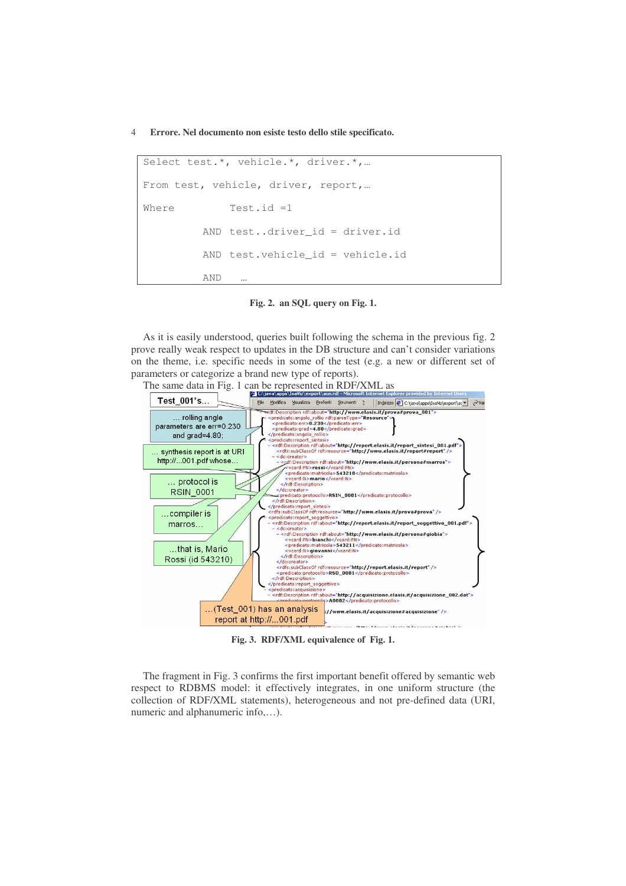```
Select test.*, vehicle.*, driver.*,…
From test, vehicle, driver, report,…
Where Test.id =1
         AND test..driver id = driver.id
         AND test.vehicle id = vehicle.id
         AND …
```
**Fig. 2. an SQL query on Fig. 1.**

As it is easily understood, queries built following the schema in the previous fig. 2 prove really weak respect to updates in the DB structure and can't consider variations on the theme, i.e. specific needs in some of the test (e.g. a new or different set of parameters or categorize a brand new type of reports).



**Fig. 3. RDF/XML equivalence of Fig. 1.**

The fragment in Fig. 3 confirms the first important benefit offered by semantic web respect to RDBMS model: it effectively integrates, in one uniform structure (the collection of RDF/XML statements), heterogeneous and not pre-defined data (URI, numeric and alphanumeric info,…).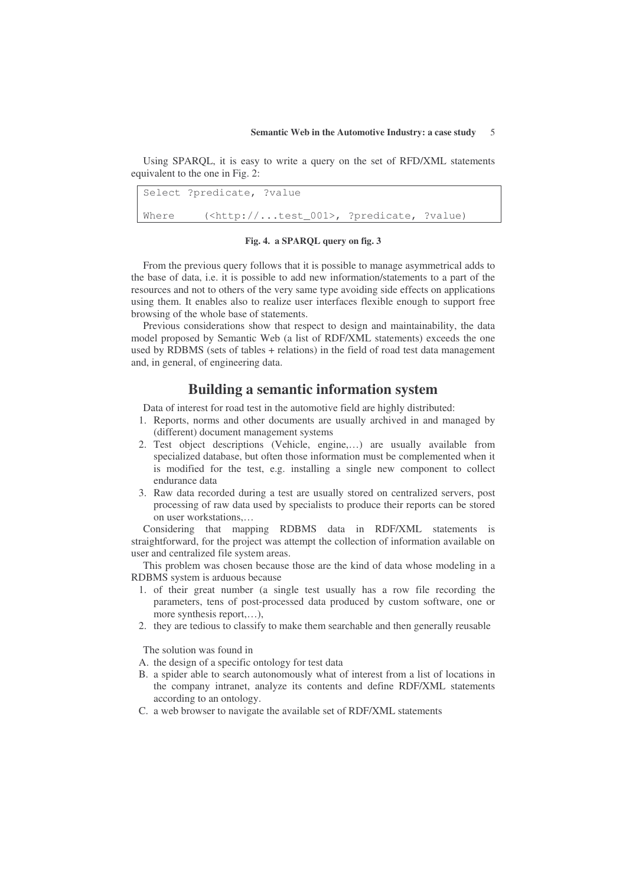Using SPARQL, it is easy to write a query on the set of RFD/XML statements equivalent to the one in Fig. 2:

Select ?predicate, ?value Where (<http://...test 001>, ?predicate, ?value)

### **Fig. 4. a SPARQL query on fig. 3**

From the previous query follows that it is possible to manage asymmetrical adds to the base of data, i.e. it is possible to add new information/statements to a part of the resources and not to others of the very same type avoiding side effects on applications using them. It enables also to realize user interfaces flexible enough to support free browsing of the whole base of statements.

Previous considerations show that respect to design and maintainability, the data model proposed by Semantic Web (a list of RDF/XML statements) exceeds the one used by RDBMS (sets of tables + relations) in the field of road test data management and, in general, of engineering data.

# **Building a semantic information system**

Data of interest for road test in the automotive field are highly distributed:

- 1. Reports, norms and other documents are usually archived in and managed by (different) document management systems
- 2. Test object descriptions (Vehicle, engine,…) are usually available from specialized database, but often those information must be complemented when it is modified for the test, e.g. installing a single new component to collect endurance data
- 3. Raw data recorded during a test are usually stored on centralized servers, post processing of raw data used by specialists to produce their reports can be stored on user workstations,…

Considering that mapping RDBMS data in RDF/XML statements is straightforward, for the project was attempt the collection of information available on user and centralized file system areas.

This problem was chosen because those are the kind of data whose modeling in a RDBMS system is arduous because

- 1. of their great number (a single test usually has a row file recording the parameters, tens of post-processed data produced by custom software, one or more synthesis report,…),
- 2. they are tedious to classify to make them searchable and then generally reusable

The solution was found in

A. the design of a specific ontology for test data

- B. a spider able to search autonomously what of interest from a list of locations in the company intranet, analyze its contents and define RDF/XML statements according to an ontology.
- C. a web browser to navigate the available set of RDF/XML statements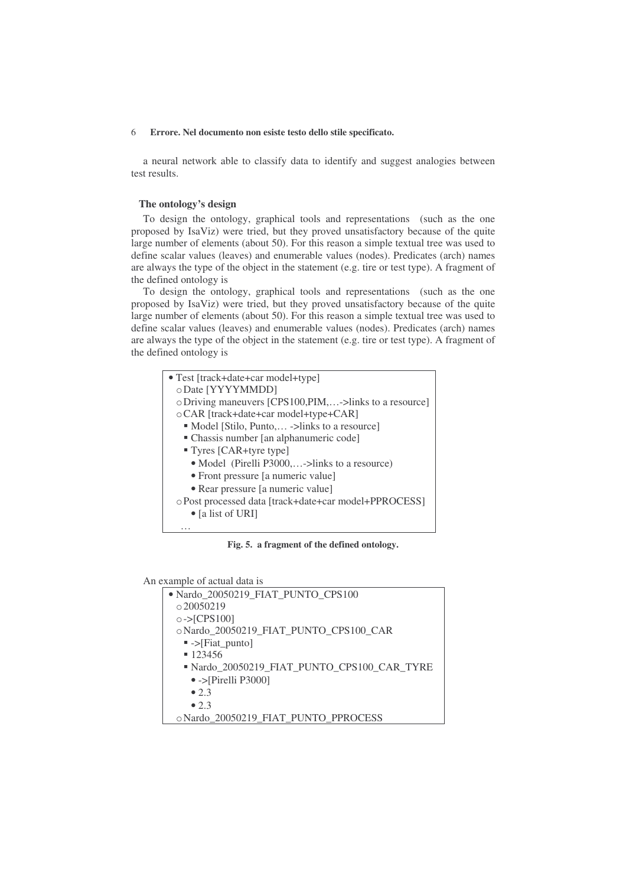a neural network able to classify data to identify and suggest analogies between test results.

### **The ontology's design**

To design the ontology, graphical tools and representations (such as the one proposed by IsaViz) were tried, but they proved unsatisfactory because of the quite large number of elements (about 50). For this reason a simple textual tree was used to define scalar values (leaves) and enumerable values (nodes). Predicates (arch) names are always the type of the object in the statement (e.g. tire or test type). A fragment of the defined ontology is

To design the ontology, graphical tools and representations (such as the one proposed by IsaViz) were tried, but they proved unsatisfactory because of the quite large number of elements (about 50). For this reason a simple textual tree was used to define scalar values (leaves) and enumerable values (nodes). Predicates (arch) names are always the type of the object in the statement (e.g. tire or test type). A fragment of the defined ontology is

| • Test [track+date+car model+type]                      |  |  |  |  |  |  |
|---------------------------------------------------------|--|--|--|--|--|--|
| o Date [YYYYMMDD]                                       |  |  |  |  |  |  |
| o Driving maneuvers [CPS100, PIM,->links to a resource] |  |  |  |  |  |  |
| o CAR [track+date+car model+type+CAR]                   |  |  |  |  |  |  |
| • Model [Stilo, Punto, -> links to a resource]          |  |  |  |  |  |  |
| • Chassis number [an alphanumeric code]                 |  |  |  |  |  |  |
| " Tyres [CAR+tyre type]                                 |  |  |  |  |  |  |
| • Model (Pirelli P3000,->links to a resource)           |  |  |  |  |  |  |
| • Front pressure [a numeric value]                      |  |  |  |  |  |  |
| • Rear pressure [a numeric value]                       |  |  |  |  |  |  |
| o Post processed data [track+date+car model+PPROCESS]   |  |  |  |  |  |  |
| $\bullet$ [a list of URI]                               |  |  |  |  |  |  |
| .                                                       |  |  |  |  |  |  |

**Fig. 5. a fragment of the defined ontology.**

An example of actual data is

| • Nardo 20050219 FIAT PUNTO CPS100          |
|---------------------------------------------|
| 0.20050219                                  |
| $\circ$ ->[CPS100]                          |
| o Nardo 20050219 FIAT PUNTO CPS100 CAR      |
| $\blacktriangleright$ ->[Fiat_punto]        |
| 123456                                      |
| • Nardo 20050219 FIAT PUNTO CPS100 CAR TYRE |
| $\bullet$ ->[Pirelli P3000]                 |
| $\bullet$ 2.3                               |
| $\bullet$ 2.3                               |
| o Nardo 20050219 FIAT PUNTO PPROCESS        |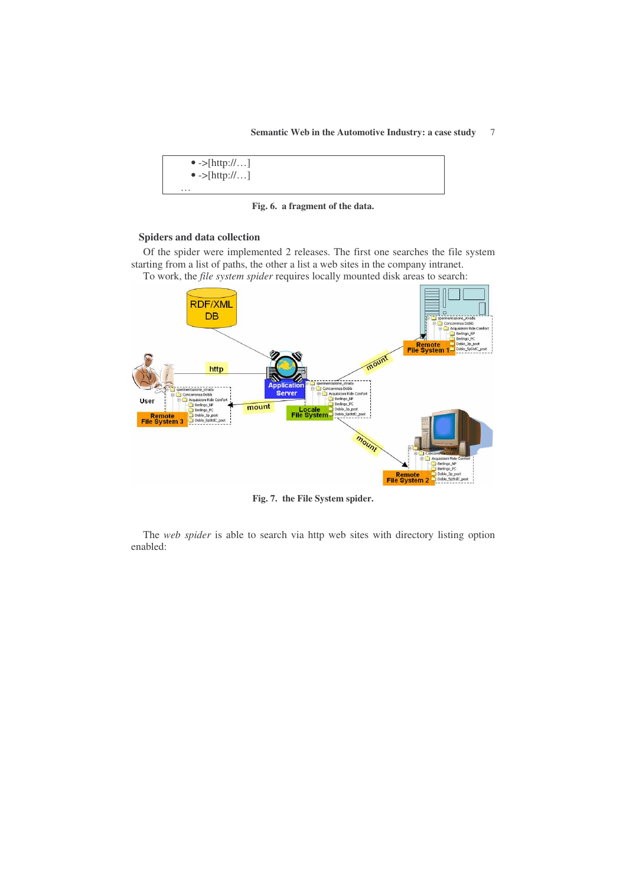

**Fig. 6. a fragment of the data.**

### **Spiders and data collection**

Of the spider were implemented 2 releases. The first one searches the file system starting from a list of paths, the other a list a web sites in the company intranet.

To work, the *file system spider* requires locally mounted disk areas to search:



**Fig. 7. the File System spider.**

The *web spider* is able to search via http web sites with directory listing option enabled: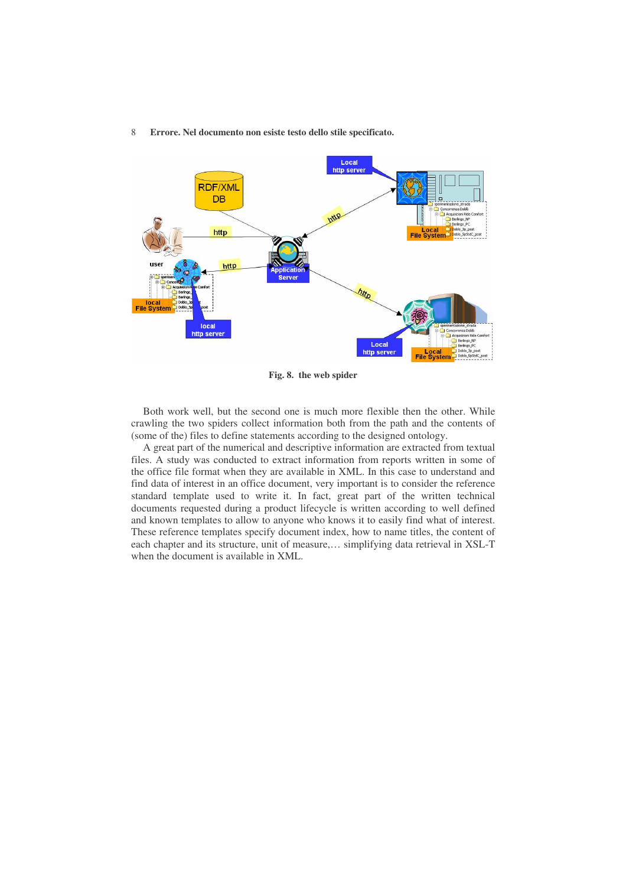

**Fig. 8. the web spider**

Both work well, but the second one is much more flexible then the other. While crawling the two spiders collect information both from the path and the contents of (some of the) files to define statements according to the designed ontology.

A great part of the numerical and descriptive information are extracted from textual files. A study was conducted to extract information from reports written in some of the office file format when they are available in XML. In this case to understand and find data of interest in an office document, very important is to consider the reference standard template used to write it. In fact, great part of the written technical documents requested during a product lifecycle is written according to well defined and known templates to allow to anyone who knows it to easily find what of interest. These reference templates specify document index, how to name titles, the content of each chapter and its structure, unit of measure,… simplifying data retrieval in XSL-T when the document is available in XML.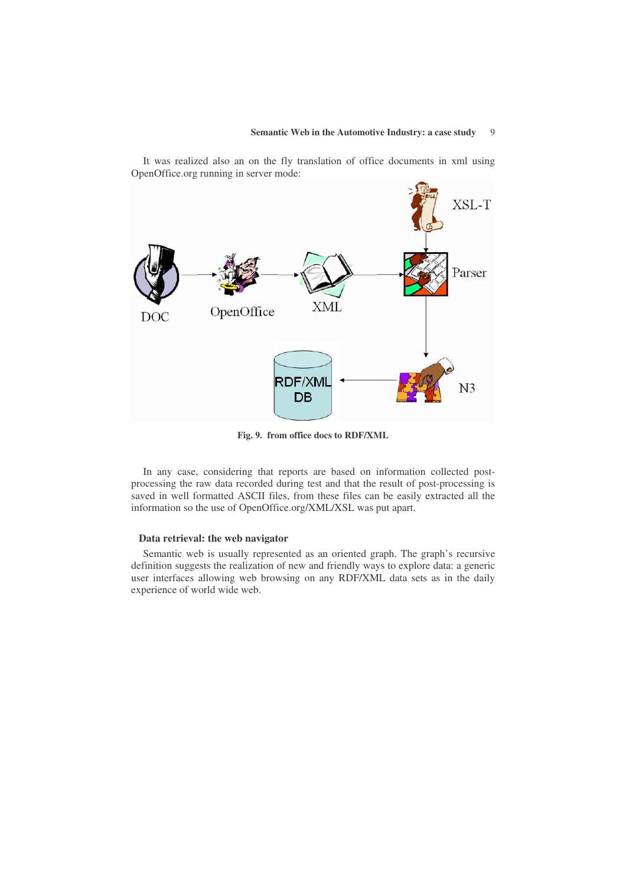

It was realized also an on the fly translation of office documents in xml using OpenOffice.org running in server mode:

**Fig. 9. from office docs to RDF/XML**

In any case, considering that reports are based on information collected postprocessing the raw data recorded during test and that the result of post-processing is saved in well formatted ASCII files, from these files can be easily extracted all the information so the use of OpenOffice.org/XML/XSL was put apart.

### **Data retrieval: the web navigator**

Semantic web is usually represented as an oriented graph. The graph's recursive definition suggests the realization of new and friendly ways to explore data: a generic user interfaces allowing web browsing on any RDF/XML data sets as in the daily experience of world wide web.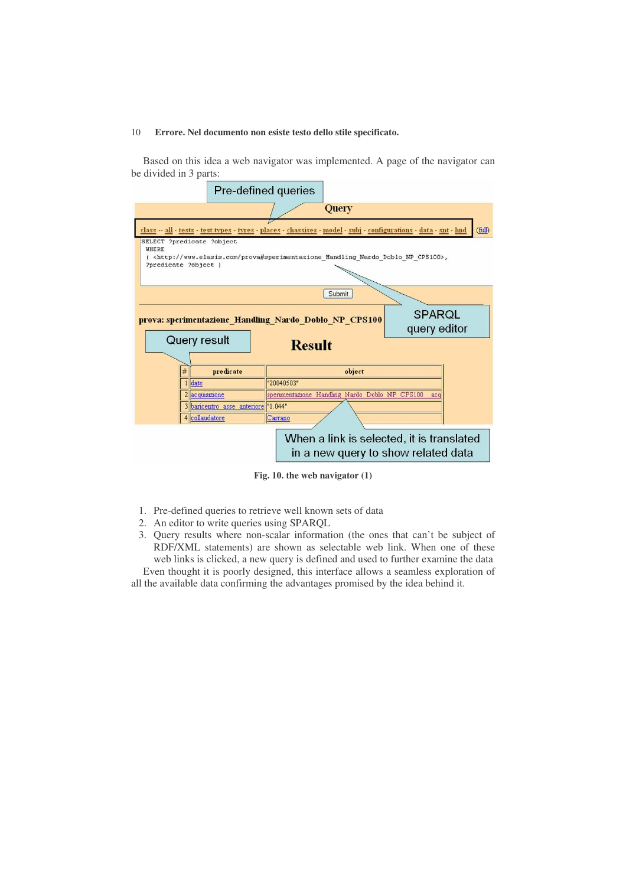Based on this idea a web navigator was implemented. A page of the navigator can be divided in 3 parts:



**Fig. 10. the web navigator (1)**

- 1. Pre-defined queries to retrieve well known sets of data
- 2. An editor to write queries using SPARQL
- 3. Query results where non-scalar information (the ones that can't be subject of RDF/XML statements) are shown as selectable web link. When one of these web links is clicked, a new query is defined and used to further examine the data Even thought it is poorly designed, this interface allows a seamless exploration of

all the available data confirming the advantages promised by the idea behind it.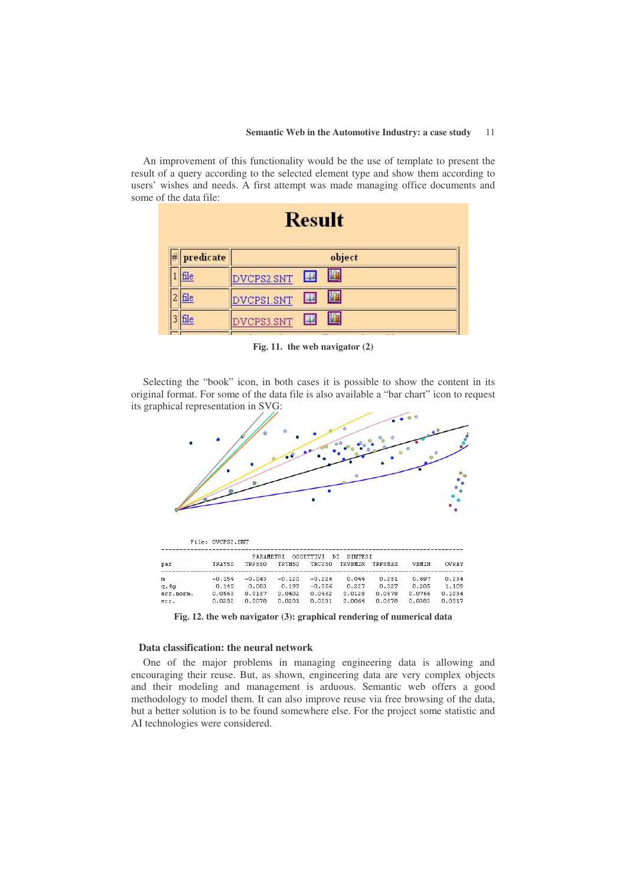An improvement of this functionality would be the use of template to present the result of a query according to the selected element type and show them according to users' wishes and needs. A first attempt was made managing office documents and some of the data file:

| <b>Result</b> |                 |  |  |  |  |  |  |  |  |
|---------------|-----------------|--|--|--|--|--|--|--|--|
| predicate     | object          |  |  |  |  |  |  |  |  |
| file          | 圈<br>DVCPS2.SNT |  |  |  |  |  |  |  |  |
| file          | 圈<br>DVCPS1.SNT |  |  |  |  |  |  |  |  |
| ٦le           | 圓<br>DVCPS3.SNT |  |  |  |  |  |  |  |  |
|               |                 |  |  |  |  |  |  |  |  |

**Fig. 11. the web navigator (2)**

Selecting the "book" icon, in both cases it is possible to show the content in its original format. For some of the data file is also available a "bar chart" icon to request its graphical representation in SVG:



|           |          | OGGETTIVI<br>SINTEST<br><b>PARAMETRI</b><br>D.T. |          |          |         |         |        |              |
|-----------|----------|--------------------------------------------------|----------|----------|---------|---------|--------|--------------|
| par       | TRAY50   | TRPS50                                           | TRTH50   | TRCV50   | TRVBMIN | TRPSMAX | VBMIN  | <b>OVRAY</b> |
| m         | $-0.154$ | $-0.043$                                         | $-0.120$ | $-0.226$ | 0.044   | 0.251   | 0.697  | 0.234        |
| q.4q      | 0.145    | 0.083                                            | 0.199    | $-0.056$ | 0.227   | 0.327   | 0.205  | 1.109        |
| err.norm. | 0.0563   | 0.0157                                           | 0.0402   | 0.0462   | 0.0128  | 0.0678  | 0.0766 | 0.1034       |
| err.      | 0.0282   | 0.0078                                           | 0.0201   | 0.0231   | 0.0064  | 0.0678  | 0.0383 | 0.0517       |

**Fig. 12. the web navigator (3): graphical rendering of numerical data**

### **Data classification: the neural network**

One of the major problems in managing engineering data is allowing and encouraging their reuse. But, as shown, engineering data are very complex objects and their modeling and management is arduous. Semantic web offers a good methodology to model them. It can also improve reuse via free browsing of the data, but a better solution is to be found somewhere else. For the project some statistic and AI technologies were considered.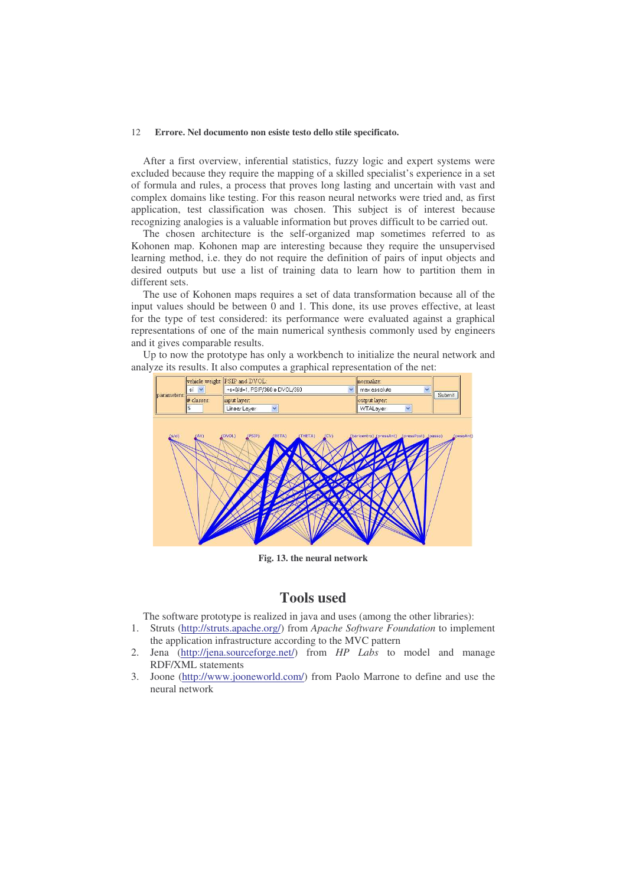After a first overview, inferential statistics, fuzzy logic and expert systems were excluded because they require the mapping of a skilled specialist's experience in a set of formula and rules, a process that proves long lasting and uncertain with vast and complex domains like testing. For this reason neural networks were tried and, as first application, test classification was chosen. This subject is of interest because recognizing analogies is a valuable information but proves difficult to be carried out.

The chosen architecture is the self-organized map sometimes referred to as Kohonen map. Kohonen map are interesting because they require the unsupervised learning method, i.e. they do not require the definition of pairs of input objects and desired outputs but use a list of training data to learn how to partition them in different sets.

The use of Kohonen maps requires a set of data transformation because all of the input values should be between 0 and 1. This done, its use proves effective, at least for the type of test considered: its performance were evaluated against a graphical representations of one of the main numerical synthesis commonly used by engineers and it gives comparable results.

Up to now the prototype has only a workbench to initialize the neural network and analyze its results. It also computes a graphical representation of the net:



**Fig. 13. the neural network**

# **Tools used**

The software prototype is realized in java and uses (among the other libraries):

- 1. Struts (http://struts.apache.org/) from *Apache Software Foundation* to implement the application infrastructure according to the MVC pattern
- 2. Jena (http://jena.sourceforge.net/) from *HP Labs* to model and manage RDF/XML statements
- 3. Joone (http://www.jooneworld.com/) from Paolo Marrone to define and use the neural network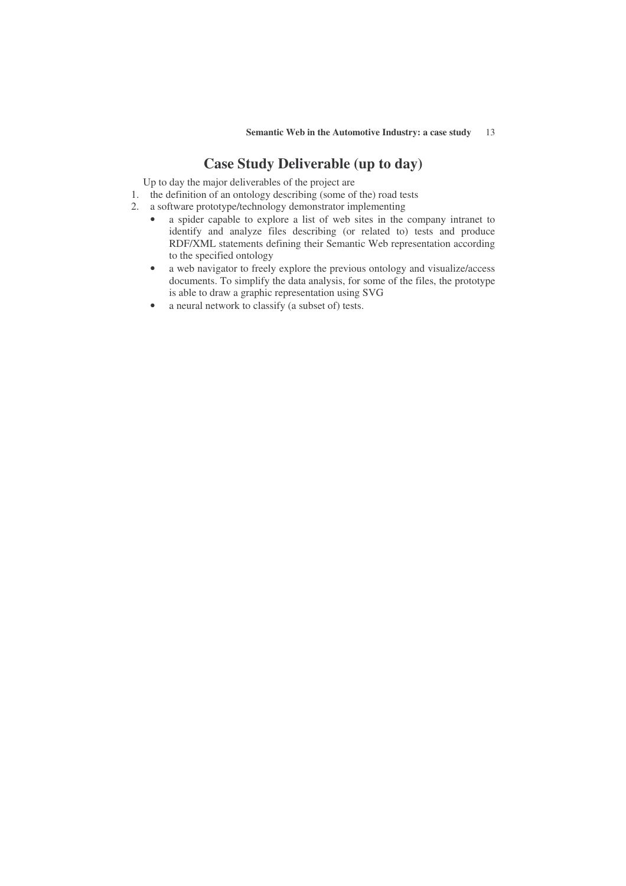# **Case Study Deliverable (up to day)**

Up to day the major deliverables of the project are

- 1. the definition of an ontology describing (some of the) road tests
- 2. a software prototype/technology demonstrator implementing
	- a spider capable to explore a list of web sites in the company intranet to identify and analyze files describing (or related to) tests and produce RDF/XML statements defining their Semantic Web representation according to the specified ontology
	- a web navigator to freely explore the previous ontology and visualize/access documents. To simplify the data analysis, for some of the files, the prototype is able to draw a graphic representation using SVG
	- a neural network to classify (a subset of) tests.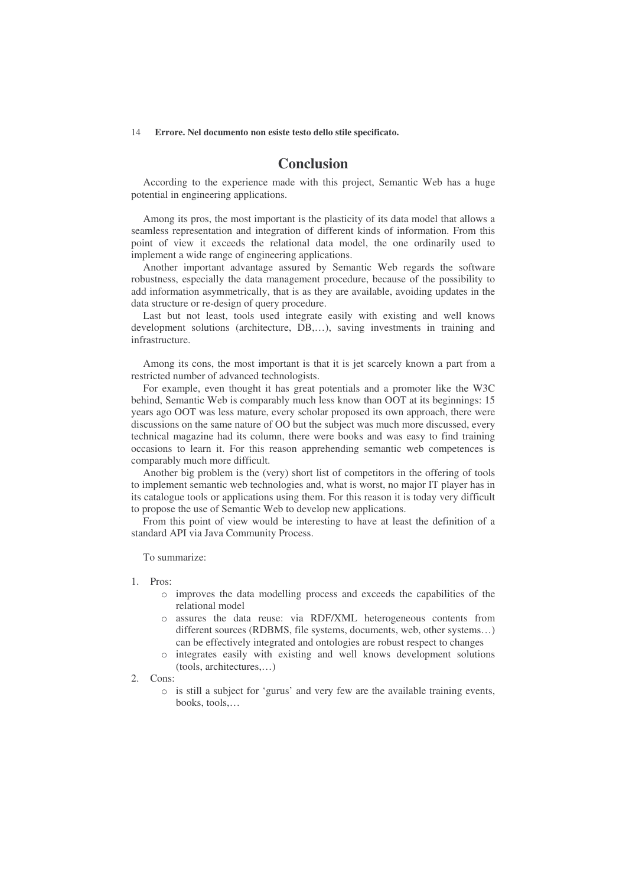# **Conclusion**

According to the experience made with this project, Semantic Web has a huge potential in engineering applications.

Among its pros, the most important is the plasticity of its data model that allows a seamless representation and integration of different kinds of information. From this point of view it exceeds the relational data model, the one ordinarily used to implement a wide range of engineering applications.

Another important advantage assured by Semantic Web regards the software robustness, especially the data management procedure, because of the possibility to add information asymmetrically, that is as they are available, avoiding updates in the data structure or re-design of query procedure.

Last but not least, tools used integrate easily with existing and well knows development solutions (architecture, DB,…), saving investments in training and infrastructure.

Among its cons, the most important is that it is jet scarcely known a part from a restricted number of advanced technologists.

For example, even thought it has great potentials and a promoter like the W3C behind, Semantic Web is comparably much less know than OOT at its beginnings: 15 years ago OOT was less mature, every scholar proposed its own approach, there were discussions on the same nature of OO but the subject was much more discussed, every technical magazine had its column, there were books and was easy to find training occasions to learn it. For this reason apprehending semantic web competences is comparably much more difficult.

Another big problem is the (very) short list of competitors in the offering of tools to implement semantic web technologies and, what is worst, no major IT player has in its catalogue tools or applications using them. For this reason it is today very difficult to propose the use of Semantic Web to develop new applications.

From this point of view would be interesting to have at least the definition of a standard API via Java Community Process.

To summarize:

- 1. Pros:
	- o improves the data modelling process and exceeds the capabilities of the relational model
	- o assures the data reuse: via RDF/XML heterogeneous contents from different sources (RDBMS, file systems, documents, web, other systems…) can be effectively integrated and ontologies are robust respect to changes
	- o integrates easily with existing and well knows development solutions (tools, architectures,…)
- 2. Cons:
	- o is still a subject for 'gurus' and very few are the available training events, books, tools,…